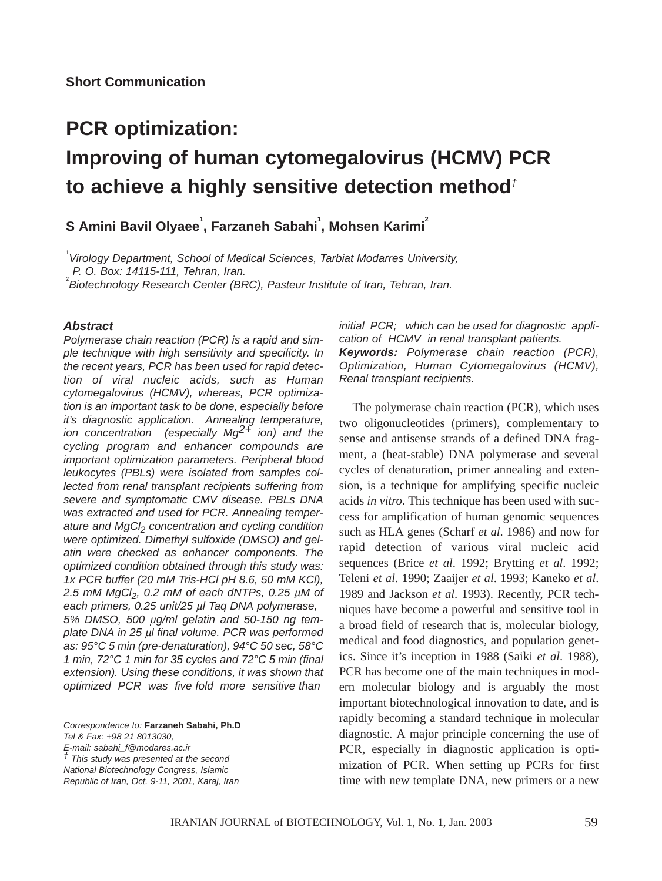## **PCR optimization: Improving of human cytomegalovirus (HCMV) PCR to achieve a highly sensitive detection method***†*

 ${\bf S}$  Amini Bavil Olyaee $^{\rm l}$ , Farzaneh Sabahi $^{\rm l}$ , Mohsen Karimi $^{\rm l}$ 

1 *Virology Department, School of Medical Sciences, Tarbiat Modarres University, P. O. Box: 14115-111, Tehran, Iran.* 

*Biotechnology Research Center (BRC), Pasteur Institute of Iran, Tehran, Iran.*

## *Abstract*

*Polymerase chain reaction (PCR) is a rapid and simple technique with high sensitivity and specificity. In the recent years, PCR has been used for rapid detection of viral nucleic acids, such as Human cytomegalovirus (HCMV), whereas, PCR optimization is an important task to be done, especially before it's diagnostic application. Annealing temperature, ion concentration (especially Mg2+ ion) and the cycling program and enhancer compounds are important optimization parameters. Peripheral blood leukocytes (PBLs) were isolated from samples collected from renal transplant recipients suffering from severe and symptomatic CMV disease. PBLs DNA was extracted and used for PCR. Annealing temperature and MgCl2 concentration and cycling condition were optimized. Dimethyl sulfoxide (DMSO) and gelatin were checked as enhancer components. The optimized condition obtained through this study was: 1x PCR buffer (20 mM Tris-HCl pH 8.6, 50 mM KCl), 2.5 mM MgCl2, 0.2 mM of each dNTPs, 0.25* µ*M of each primers, 0.25 unit/25* µ*l Taq DNA polymerase, 5% DMSO, 500* µ*g/ml gelatin and 50-150 ng template DNA in 25* µ*l final volume. PCR was performed as: 95°C 5 min (pre-denaturation), 94°C 50 sec, 58°C 1 min, 72°C 1 min for 35 cycles and 72°C 5 min (final extension). Using these conditions, it was shown that optimized PCR was five fold more sensitive than* 

*Correspondence to:* **Farzaneh Sabahi, Ph.D** *Tel & Fax: +98 21 8013030, E-mail: sabahi\_f@modares.ac.ir † This study was presented at the second National Biotechnology Congress, Islamic Republic of Iran, Oct. 9-11, 2001, Karaj, Iran*

*initial PCR; which can be used for diagnostic application of HCMV in renal transplant patients. Keywords: Polymerase chain reaction (PCR), Optimization, Human Cytomegalovirus (HCMV), Renal transplant recipients.*

The polymerase chain reaction (PCR), which uses two oligonucleotides (primers), complementary to sense and antisense strands of a defined DNA fragment, a (heat-stable) DNA polymerase and several cycles of denaturation, primer annealing and extension, is a technique for amplifying specific nucleic acids *in vitro*. This technique has been used with success for amplification of human genomic sequences such as HLA genes (Scharf *et al*. 1986) and now for rapid detection of various viral nucleic acid sequences (Brice *et al*. 1992; Brytting *et al*. 1992; Teleni *et al*. 1990; Zaaijer *et al*. 1993; Kaneko *et al*. 1989 and Jackson *et al*. 1993). Recently, PCR techniques have become a powerful and sensitive tool in a broad field of research that is, molecular biology, medical and food diagnostics, and population genetics. Since it's inception in 1988 (Saiki *et al*. 1988), PCR has become one of the main techniques in modern molecular biology and is arguably the most important biotechnological innovation to date, and is rapidly becoming a standard technique in molecular diagnostic. A major principle concerning the use of PCR, especially in diagnostic application is optimization of PCR. When setting up PCRs for first time with new template DNA, new primers or a new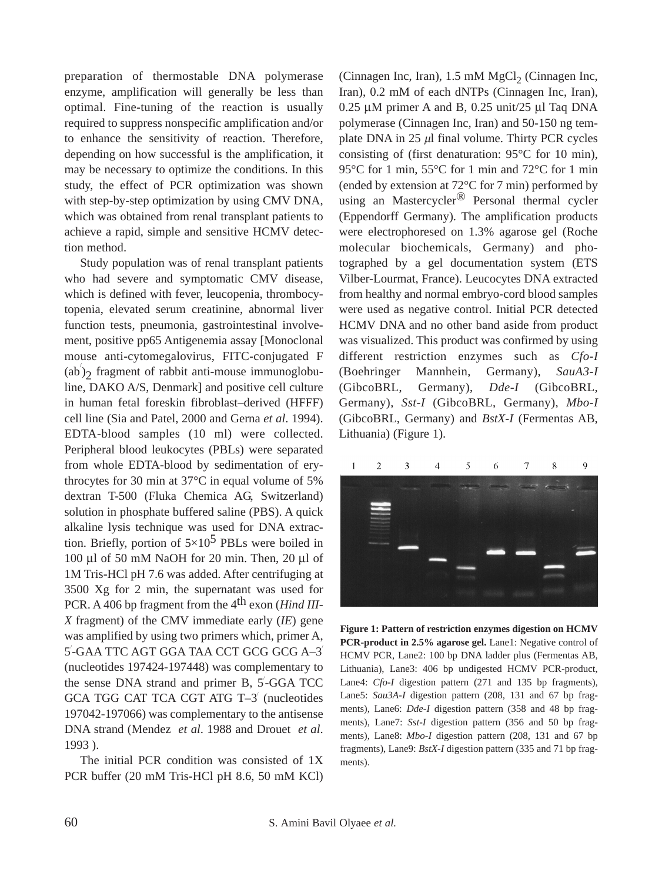preparation of thermostable DNA polymerase enzyme, amplification will generally be less than optimal. Fine-tuning of the reaction is usually required to suppress nonspecific amplification and/or to enhance the sensitivity of reaction. Therefore, depending on how successful is the amplification, it may be necessary to optimize the conditions. In this study, the effect of PCR optimization was shown with step-by-step optimization by using CMV DNA, which was obtained from renal transplant patients to achieve a rapid, simple and sensitive HCMV detection method.

Study population was of renal transplant patients who had severe and symptomatic CMV disease, which is defined with fever, leucopenia, thrombocytopenia, elevated serum creatinine, abnormal liver function tests, pneumonia, gastrointestinal involvement, positive pp65 Antigenemia assay [Monoclonal mouse anti-cytomegalovirus, FITC-conjugated F  $(a\overline{b})_2$  fragment of rabbit anti-mouse immunoglobuline, DAKO A/S, Denmark] and positive cell culture in human fetal foreskin fibroblast–derived (HFFF) cell line (Sia and Patel, 2000 and Gerna *et al*. 1994). EDTA-blood samples (10 ml) were collected. Peripheral blood leukocytes (PBLs) were separated from whole EDTA-blood by sedimentation of erythrocytes for 30 min at 37°C in equal volume of 5% dextran T-500 (Fluka Chemica AG, Switzerland) solution in phosphate buffered saline (PBS). A quick alkaline lysis technique was used for DNA extraction. Briefly, portion of  $5\times10^5$  PBLs were boiled in 100 µl of 50 mM NaOH for 20 min. Then, 20 µl of 1M Tris-HCl pH 7.6 was added. After centrifuging at 3500 Xg for 2 min, the supernatant was used for PCR. A 406 bp fragment from the 4<sup>th</sup> exon (*Hind III*-*X* fragment) of the CMV immediate early (*IE*) gene was amplified by using two primers which, primer A, 5 / -GAA TTC AGT GGA TAA CCT GCG GCG A–3/ (nucleotides 197424-197448) was complementary to the sense DNA strand and primer B, 5-GGA TCC GCA TGG CAT TCA CGT ATG T–3/ (nucleotides 197042-197066) was complementary to the antisense DNA strand (Mendez *et al*. 1988 and Drouet *et al*. 1993 ).

The initial PCR condition was consisted of 1X PCR buffer (20 mM Tris-HCl pH 8.6, 50 mM KCl)

(Cinnagen Inc, Iran),  $1.5 \text{ mM MgCl}_2$  (Cinnagen Inc, Iran), 0.2 mM of each dNTPs (Cinnagen Inc, Iran), 0.25 µM primer A and B, 0.25 unit/25 µl Taq DNA polymerase (Cinnagen Inc, Iran) and 50-150 ng template DNA in  $25 \mu l$  final volume. Thirty PCR cycles consisting of (first denaturation: 95°C for 10 min), 95°C for 1 min, 55°C for 1 min and 72°C for 1 min (ended by extension at 72°C for 7 min) performed by using an Mastercycler<sup>®</sup> Personal thermal cycler (Eppendorff Germany). The amplification products were electrophoresed on 1.3% agarose gel (Roche molecular biochemicals, Germany) and photographed by a gel documentation system (ETS Vilber-Lourmat, France). Leucocytes DNA extracted from healthy and normal embryo-cord blood samples were used as negative control. Initial PCR detected HCMV DNA and no other band aside from product was visualized. This product was confirmed by using different restriction enzymes such as *Cfo-I* (Boehringer Mannhein, Germany), *SauA3-I* (GibcoBRL, Germany), *Dde-I* (GibcoBRL, Germany), *Sst-I* (GibcoBRL, Germany), *Mbo-I* (GibcoBRL, Germany) and *BstX-I* (Fermentas AB, Lithuania) (Figure 1).



**Figure 1: Pattern of restriction enzymes digestion on HCMV PCR-product in 2.5% agarose gel.** Lane1: Negative control of HCMV PCR, Lane2: 100 bp DNA ladder plus (Fermentas AB, Lithuania), Lane3: 406 bp undigested HCMV PCR-product, Lane4: *Cfo-I* digestion pattern (271 and 135 bp fragments), Lane5: *Sau3A-I* digestion pattern (208, 131 and 67 bp fragments), Lane6: *Dde-I* digestion pattern (358 and 48 bp fragments), Lane7: *Sst-I* digestion pattern (356 and 50 bp fragments), Lane8: *Mbo-I* digestion pattern (208, 131 and 67 bp fragments), Lane9: *BstX-I* digestion pattern (335 and 71 bp fragments).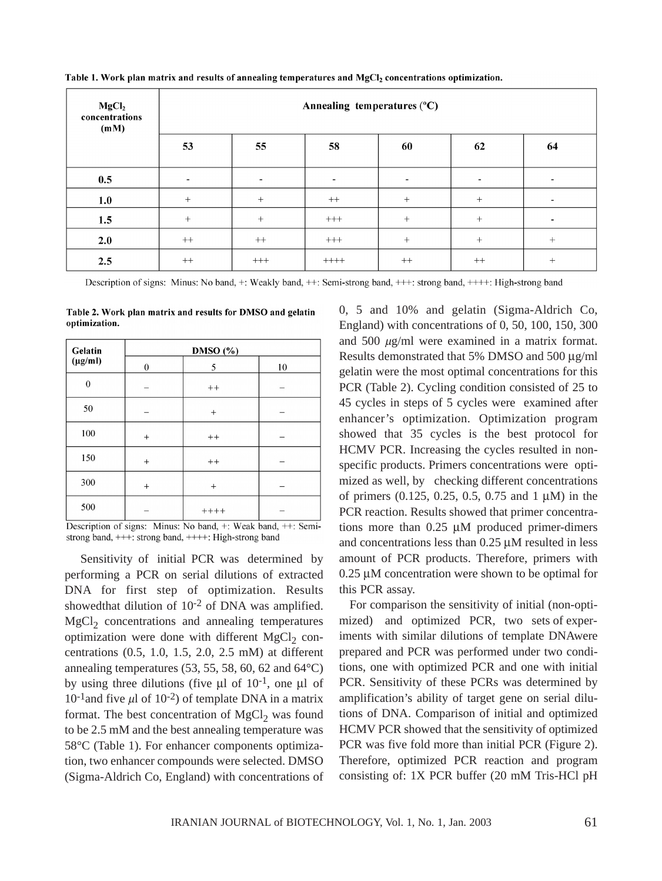| MgCl <sub>2</sub><br>concentrations<br>(mM) |        | Annealing temperatures $(^{\circ}C)$ |          |        |                          |                          |  |
|---------------------------------------------|--------|--------------------------------------|----------|--------|--------------------------|--------------------------|--|
|                                             | 53     | 55                                   | 58       | 60     | 62                       | 64                       |  |
| 0.5                                         | -      |                                      |          |        | $\overline{\phantom{a}}$ |                          |  |
| 1.0                                         | $+$    | $+$                                  | $++$     | $^{+}$ | $^{+}$                   | $\overline{\phantom{0}}$ |  |
| 1.5                                         | $^{+}$ | $^{+}$                               | $+++$    | $^{+}$ | $^{+}$                   | $\overline{\phantom{0}}$ |  |
| 2.0                                         | $++$   | $++$                                 | $^{+++}$ | $^{+}$ | $^{+}$                   | $^{+}$                   |  |
| 2.5                                         | $++$   | $^{+++}$                             | $++++$   | $++$   | $++$                     | $^{+}$                   |  |

Table 1. Work plan matrix and results of annealing temperatures and MgCl<sub>2</sub> concentrations optimization.

Description of signs: Minus: No band, +: Weakly band, ++: Semi-strong band, +++: strong band, ++++: High-strong band

Table 2. Work plan matrix and results for DMSO and gelatin optimization.

| Gelatin      | DMSO (%) |                 |    |  |  |
|--------------|----------|-----------------|----|--|--|
| $(\mu g/ml)$ | $\theta$ | 5               | 10 |  |  |
| $\theta$     |          | $^{\mathrm{+}}$ |    |  |  |
| 50           |          | $^{+}$          |    |  |  |
| 100          | $^{+}$   | $++$            |    |  |  |
| 150          | $^{+}$   | $^{\mathrm{+}}$ |    |  |  |
| 300          | $^{+}$   | $^{+}$          |    |  |  |
| 500          |          | $+++++$         |    |  |  |

Description of signs: Minus: No band, +: Weak band, ++: Semistrong band, +++: strong band, ++++: High-strong band

Sensitivity of initial PCR was determined by performing a PCR on serial dilutions of extracted DNA for first step of optimization. Results showedthat dilution of 10-2 of DNA was amplified.  $MgCl<sub>2</sub>$  concentrations and annealing temperatures optimization were done with different  $MgCl<sub>2</sub>$  concentrations (0.5, 1.0, 1.5, 2.0, 2.5 mM) at different annealing temperatures (53, 55, 58, 60, 62 and 64°C) by using three dilutions (five  $\mu$ l of 10<sup>-1</sup>, one  $\mu$ l of  $10^{-1}$ and five  $\mu$ l of  $10^{-2}$ ) of template DNA in a matrix format. The best concentration of  $MgCl<sub>2</sub>$  was found to be 2.5 mM and the best annealing temperature was 58°C (Table 1). For enhancer components optimization, two enhancer compounds were selected. DMSO (Sigma-Aldrich Co, England) with concentrations of 0, 5 and 10% and gelatin (Sigma-Aldrich Co, England) with concentrations of 0, 50, 100, 150, 300 and 500 µg/ml were examined in a matrix format. Results demonstrated that 5% DMSO and 500 µg/ml gelatin were the most optimal concentrations for this PCR (Table 2). Cycling condition consisted of 25 to 45 cycles in steps of 5 cycles were examined after enhancer's optimization. Optimization program showed that 35 cycles is the best protocol for HCMV PCR. Increasing the cycles resulted in nonspecific products. Primers concentrations were optimized as well, by checking different concentrations of primers  $(0.125, 0.25, 0.5, 0.75, 0.14)$  in the PCR reaction. Results showed that primer concentrations more than 0.25 µM produced primer-dimers and concentrations less than 0.25 µM resulted in less amount of PCR products. Therefore, primers with 0.25 µM concentration were shown to be optimal for this PCR assay.

For comparison the sensitivity of initial (non-optimized) and optimized PCR, two sets of experiments with similar dilutions of template DNAwere prepared and PCR was performed under two conditions, one with optimized PCR and one with initial PCR. Sensitivity of these PCRs was determined by amplification's ability of target gene on serial dilutions of DNA. Comparison of initial and optimized HCMV PCR showed that the sensitivity of optimized PCR was five fold more than initial PCR (Figure 2). Therefore, optimized PCR reaction and program consisting of: 1X PCR buffer (20 mM Tris-HCl pH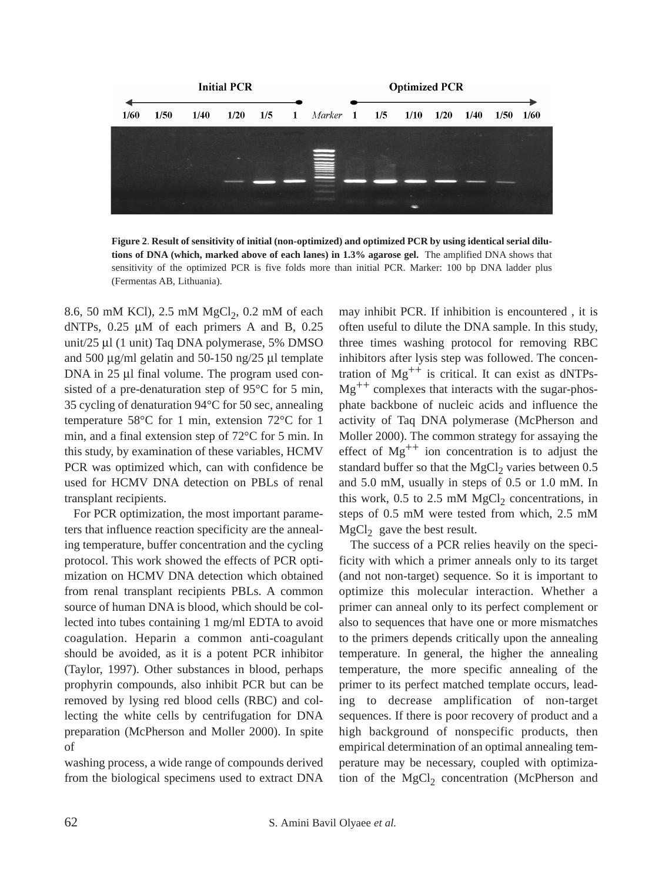

**Figure 2**. **Result of sensitivity of initial (non-optimized) and optimized PCR by using identical serial dilutions of DNA (which, marked above of each lanes) in 1.3% agarose gel.** The amplified DNA shows that sensitivity of the optimized PCR is five folds more than initial PCR. Marker: 100 bp DNA ladder plus (Fermentas AB, Lithuania).

8.6, 50 mM KCl), 2.5 mM MgCl<sub>2</sub>, 0.2 mM of each dNTPs,  $0.25 \mu M$  of each primers A and B,  $0.25$ unit/25 µl (1 unit) Taq DNA polymerase, 5% DMSO and 500 µg/ml gelatin and 50-150 ng/25 µl template DNA in 25 µl final volume. The program used consisted of a pre-denaturation step of 95°C for 5 min, 35 cycling of denaturation 94°C for 50 sec, annealing temperature 58°C for 1 min, extension 72°C for 1 min, and a final extension step of 72°C for 5 min. In this study, by examination of these variables, HCMV PCR was optimized which, can with confidence be used for HCMV DNA detection on PBLs of renal transplant recipients.

For PCR optimization, the most important parameters that influence reaction specificity are the annealing temperature, buffer concentration and the cycling protocol. This work showed the effects of PCR optimization on HCMV DNA detection which obtained from renal transplant recipients PBLs. A common source of human DNA is blood, which should be collected into tubes containing 1 mg/ml EDTA to avoid coagulation. Heparin a common anti-coagulant should be avoided, as it is a potent PCR inhibitor (Taylor, 1997). Other substances in blood, perhaps prophyrin compounds, also inhibit PCR but can be removed by lysing red blood cells (RBC) and collecting the white cells by centrifugation for DNA preparation (McPherson and Moller 2000). In spite of

washing process, a wide range of compounds derived from the biological specimens used to extract DNA

may inhibit PCR. If inhibition is encountered , it is often useful to dilute the DNA sample. In this study, three times washing protocol for removing RBC inhibitors after lysis step was followed. The concentration of  $Mg^{++}$  is critical. It can exist as dNTPs- $Mg^{++}$  complexes that interacts with the sugar-phosphate backbone of nucleic acids and influence the activity of Taq DNA polymerase (McPherson and Moller 2000). The common strategy for assaying the effect of  $Mg^{++}$  ion concentration is to adjust the standard buffer so that the MgCl<sub>2</sub> varies between  $0.5$ and 5.0 mM, usually in steps of 0.5 or 1.0 mM. In this work,  $0.5$  to  $2.5$  mM MgCl<sub>2</sub> concentrations, in steps of 0.5 mM were tested from which, 2.5 mM  $MgCl<sub>2</sub>$  gave the best result.

The success of a PCR relies heavily on the specificity with which a primer anneals only to its target (and not non-target) sequence. So it is important to optimize this molecular interaction. Whether a primer can anneal only to its perfect complement or also to sequences that have one or more mismatches to the primers depends critically upon the annealing temperature. In general, the higher the annealing temperature, the more specific annealing of the primer to its perfect matched template occurs, leading to decrease amplification of non-target sequences. If there is poor recovery of product and a high background of nonspecific products, then empirical determination of an optimal annealing temperature may be necessary, coupled with optimization of the  $MgCl<sub>2</sub>$  concentration (McPherson and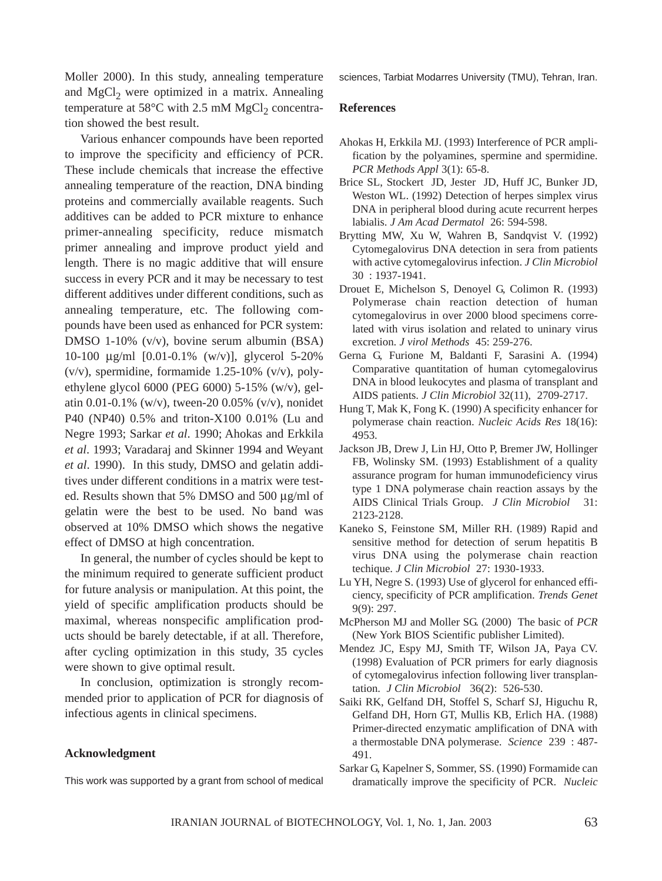Moller 2000). In this study, annealing temperature and  $MgCl<sub>2</sub>$  were optimized in a matrix. Annealing temperature at 58°C with 2.5 mM  $MgCl<sub>2</sub>$  concentration showed the best result.

Various enhancer compounds have been reported to improve the specificity and efficiency of PCR. These include chemicals that increase the effective annealing temperature of the reaction, DNA binding proteins and commercially available reagents. Such additives can be added to PCR mixture to enhance primer-annealing specificity, reduce mismatch primer annealing and improve product yield and length. There is no magic additive that will ensure success in every PCR and it may be necessary to test different additives under different conditions, such as annealing temperature, etc. The following compounds have been used as enhanced for PCR system: DMSO 1-10% (v/v), bovine serum albumin (BSA) 10-100 µg/ml [0.01-0.1% (w/v)], glycerol 5-20%  $(v/v)$ , spermidine, formamide 1.25-10%  $(v/v)$ , polyethylene glycol 6000 (PEG 6000) 5-15% (w/v), gelatin 0.01-0.1% (w/v), tween-20 0.05% (v/v), nonidet P40 (NP40) 0.5% and triton-X100 0.01% (Lu and Negre 1993; Sarkar *et al*. 1990; Ahokas and Erkkila *et al*. 1993; Varadaraj and Skinner 1994 and Weyant *et al*. 1990). In this study, DMSO and gelatin additives under different conditions in a matrix were tested. Results shown that 5% DMSO and 500 µg/ml of gelatin were the best to be used. No band was observed at 10% DMSO which shows the negative effect of DMSO at high concentration.

In general, the number of cycles should be kept to the minimum required to generate sufficient product for future analysis or manipulation. At this point, the yield of specific amplification products should be maximal, whereas nonspecific amplification products should be barely detectable, if at all. Therefore, after cycling optimization in this study, 35 cycles were shown to give optimal result.

In conclusion, optimization is strongly recommended prior to application of PCR for diagnosis of infectious agents in clinical specimens.

## **Acknowledgment**

This work was supported by a grant from school of medical

sciences, Tarbiat Modarres University (TMU), Tehran, Iran.

## **References**

- Ahokas H, Erkkila MJ. (1993) Interference of PCR amplification by the polyamines, spermine and spermidine. *PCR Methods Appl* 3(1): 65-8.
- Brice SL, Stockert JD, Jester JD, Huff JC, Bunker JD, Weston WL. (1992) Detection of herpes simplex virus DNA in peripheral blood during acute recurrent herpes labialis. *J Am Acad Dermatol* 26: 594-598.
- Brytting MW, Xu W, Wahren B, Sandqvist V. (1992) Cytomegalovirus DNA detection in sera from patients with active cytomegalovirus infection. *J Clin Microbiol* 30 : 1937-1941.
- Drouet E, Michelson S, Denoyel G, Colimon R. (1993) Polymerase chain reaction detection of human cytomegalovirus in over 2000 blood specimens correlated with virus isolation and related to uninary virus excretion. *J virol Methods* 45: 259-276.
- Gerna G, Furione M, Baldanti F, Sarasini A. (1994) Comparative quantitation of human cytomegalovirus DNA in blood leukocytes and plasma of transplant and AIDS patients. *J Clin Microbiol* 32(11), 2709-2717.
- Hung T, Mak K, Fong K. (1990) A specificity enhancer for polymerase chain reaction. *Nucleic Acids Res* 18(16): 4953.
- Jackson JB, Drew J, Lin HJ, Otto P, Bremer JW, Hollinger FB, Wolinsky SM. (1993) Establishment of a quality assurance program for human immunodeficiency virus type 1 DNA polymerase chain reaction assays by the AIDS Clinical Trials Group. *J Clin Microbiol* 31: 2123-2128.
- Kaneko S, Feinstone SM, Miller RH. (1989) Rapid and sensitive method for detection of serum hepatitis B virus DNA using the polymerase chain reaction techique. *J Clin Microbiol* 27: 1930-1933.
- Lu YH, Negre S. (1993) Use of glycerol for enhanced efficiency, specificity of PCR amplification. *Trends Genet* 9(9): 297.
- McPherson MJ and Moller SG. (2000) The basic of *PCR* (New York BIOS Scientific publisher Limited).
- Mendez JC, Espy MJ, Smith TF, Wilson JA, Paya CV. (1998) Evaluation of PCR primers for early diagnosis of cytomegalovirus infection following liver transplantation. *J Clin Microbiol* 36(2): 526-530.
- Saiki RK, Gelfand DH, Stoffel S, Scharf SJ, Higuchu R, Gelfand DH, Horn GT, Mullis KB, Erlich HA. (1988) Primer-directed enzymatic amplification of DNA with a thermostable DNA polymerase. *Science* 239 : 487- 491.
- Sarkar G, Kapelner S, Sommer, SS. (1990) Formamide can dramatically improve the specificity of PCR. *Nucleic*